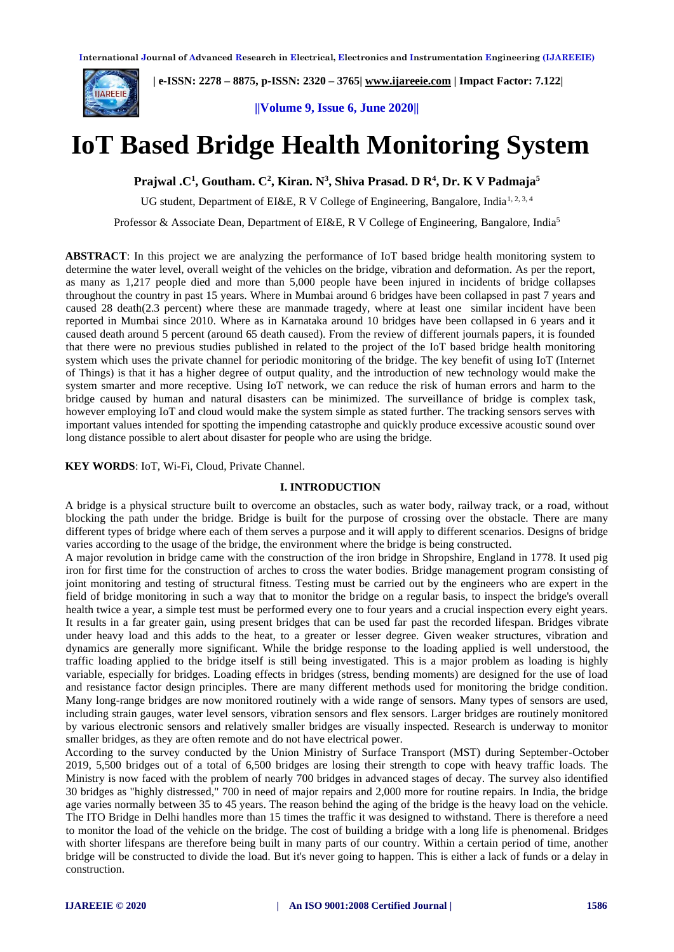

 **| e-ISSN: 2278 – 8875, p-ISSN: 2320 – 3765[| www.ijareeie.com](http://www.ijareeie.com/) | Impact Factor: 7.122|** 

**||Volume 9, Issue 6, June 2020||** 

# **IoT Based Bridge Health Monitoring System**

**Prajwal .C<sup>1</sup> , Goutham. C<sup>2</sup> , Kiran. N<sup>3</sup> , Shiva Prasad. D R<sup>4</sup> , Dr. K V Padmaja<sup>5</sup>**

UG student, Department of EI&E, R V College of Engineering, Bangalore, India<sup>1, 2, 3, 4</sup>

Professor & Associate Dean, Department of EI&E, R V College of Engineering, Bangalore, India<sup>5</sup>

**ABSTRACT**: In this project we are analyzing the performance of IoT based bridge health monitoring system to determine the water level, overall weight of the vehicles on the bridge, vibration and deformation. As per the report, as many as 1,217 people died and more than 5,000 people have been injured in incidents of bridge collapses throughout the country in past 15 years. Where in Mumbai around 6 bridges have been collapsed in past 7 years and caused 28 death(2.3 percent) where these are manmade tragedy, where at least one similar incident have been reported in Mumbai since 2010. Where as in Karnataka around 10 bridges have been collapsed in 6 years and it caused death around 5 percent (around 65 death caused). From the review of different journals papers, it is founded that there were no previous studies published in related to the project of the IoT based bridge health monitoring system which uses the private channel for periodic monitoring of the bridge. The key benefit of using IoT (Internet of Things) is that it has a higher degree of output quality, and the introduction of new technology would make the system smarter and more receptive. Using IoT network, we can reduce the risk of human errors and harm to the bridge caused by human and natural disasters can be minimized. The surveillance of bridge is complex task, however employing IoT and cloud would make the system simple as stated further. The tracking sensors serves with important values intended for spotting the impending catastrophe and quickly produce excessive acoustic sound over long distance possible to alert about disaster for people who are using the bridge.

#### **KEY WORDS**: IoT, Wi-Fi, Cloud, Private Channel.

#### **I. INTRODUCTION**

A bridge is a physical structure built to overcome an obstacles, such as water body, railway track, or a road, without blocking the path under the bridge. Bridge is built for the purpose of crossing over the obstacle. There are many different types of bridge where each of them serves a purpose and it will apply to different scenarios. Designs of bridge varies according to the usage of the bridge, the environment where the bridge is being constructed.

A major revolution in bridge came with the construction of the iron bridge in Shropshire, England in 1778. It used pig iron for first time for the construction of arches to cross the water bodies. Bridge management program consisting of joint monitoring and testing of structural fitness. Testing must be carried out by the engineers who are expert in the field of bridge monitoring in such a way that to monitor the bridge on a regular basis, to inspect the bridge's overall health twice a year, a simple test must be performed every one to four years and a crucial inspection every eight years. It results in a far greater gain, using present bridges that can be used far past the recorded lifespan. Bridges vibrate under heavy load and this adds to the heat, to a greater or lesser degree. Given weaker structures, vibration and dynamics are generally more significant. While the bridge response to the loading applied is well understood, the traffic loading applied to the bridge itself is still being investigated. This is a major problem as loading is highly variable, especially for bridges. Loading effects in bridges (stress, bending moments) are designed for the use of load and resistance factor design principles. There are many different methods used for monitoring the bridge condition. Many long-range bridges are now monitored routinely with a wide range of sensors. Many types of sensors are used, including strain gauges, water level sensors, vibration sensors and flex sensors. Larger bridges are routinely monitored by various electronic sensors and relatively smaller bridges are visually inspected. Research is underway to monitor smaller bridges, as they are often remote and do not have electrical power.

According to the survey conducted by the Union Ministry of Surface Transport (MST) during September-October 2019, 5,500 bridges out of a total of 6,500 bridges are losing their strength to cope with heavy traffic loads. The Ministry is now faced with the problem of nearly 700 bridges in advanced stages of decay. The survey also identified 30 bridges as "highly distressed," 700 in need of major repairs and 2,000 more for routine repairs. In India, the bridge age varies normally between 35 to 45 years. The reason behind the aging of the bridge is the heavy load on the vehicle. The ITO Bridge in Delhi handles more than 15 times the traffic it was designed to withstand. There is therefore a need to monitor the load of the vehicle on the bridge. The cost of building a bridge with a long life is phenomenal. Bridges with shorter lifespans are therefore being built in many parts of our country. Within a certain period of time, another bridge will be constructed to divide the load. But it's never going to happen. This is either a lack of funds or a delay in construction.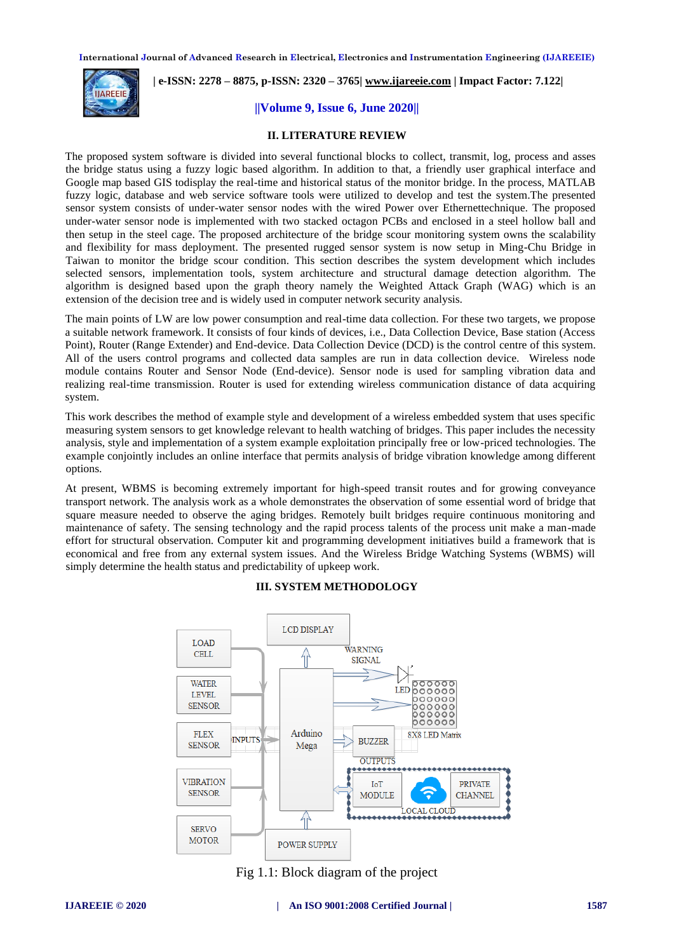

# **| e-ISSN: 2278 – 8875, p-ISSN: 2320 – 3765[| www.ijareeie.com](http://www.ijareeie.com/) | Impact Factor: 7.122|**

#### **||Volume 9, Issue 6, June 2020||**

#### **II. LITERATURE REVIEW**

The proposed system software is divided into several functional blocks to collect, transmit, log, process and asses the bridge status using a fuzzy logic based algorithm. In addition to that, a friendly user graphical interface and Google map based GIS todisplay the real-time and historical status of the monitor bridge. In the process, MATLAB fuzzy logic, database and web service software tools were utilized to develop and test the system.The presented sensor system consists of under-water sensor nodes with the wired Power over Ethernettechnique. The proposed under-water sensor node is implemented with two stacked octagon PCBs and enclosed in a steel hollow ball and then setup in the steel cage. The proposed architecture of the bridge scour monitoring system owns the scalability and flexibility for mass deployment. The presented rugged sensor system is now setup in Ming-Chu Bridge in Taiwan to monitor the bridge scour condition. This section describes the system development which includes selected sensors, implementation tools, system architecture and structural damage detection algorithm. The algorithm is designed based upon the graph theory namely the Weighted Attack Graph (WAG) which is an extension of the decision tree and is widely used in computer network security analysis.

The main points of LW are low power consumption and real-time data collection. For these two targets, we propose a suitable network framework. It consists of four kinds of devices, i.e., Data Collection Device, Base station (Access Point), Router (Range Extender) and End-device. Data Collection Device (DCD) is the control centre of this system. All of the users control programs and collected data samples are run in data collection device. Wireless node module contains Router and Sensor Node (End-device). Sensor node is used for sampling vibration data and realizing real-time transmission. Router is used for extending wireless communication distance of data acquiring system.

This work describes the method of example style and development of a wireless embedded system that uses specific measuring system sensors to get knowledge relevant to health watching of bridges. This paper includes the necessity analysis, style and implementation of a system example exploitation principally free or low-priced technologies. The example conjointly includes an online interface that permits analysis of bridge vibration knowledge among different options.

At present, WBMS is becoming extremely important for high-speed transit routes and for growing conveyance transport network. The analysis work as a whole demonstrates the observation of some essential word of bridge that square measure needed to observe the aging bridges. Remotely built bridges require continuous monitoring and maintenance of safety. The sensing technology and the rapid process talents of the process unit make a man-made effort for structural observation. Computer kit and programming development initiatives build a framework that is economical and free from any external system issues. And the Wireless Bridge Watching Systems (WBMS) will simply determine the health status and predictability of upkeep work.

# **III. SYSTEM METHODOLOGY**



Fig 1.1: Block diagram of the project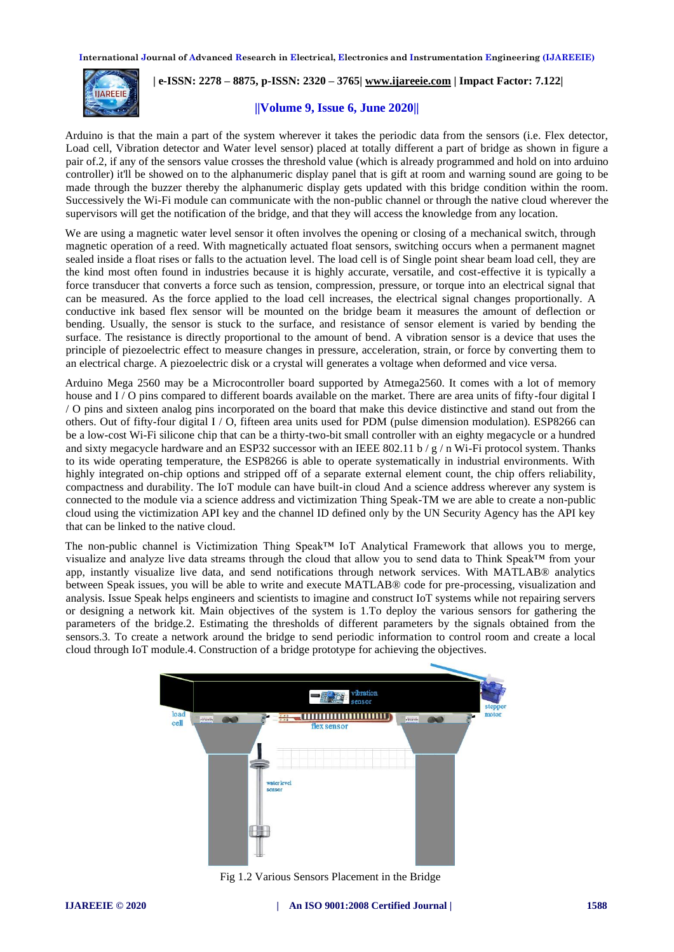

# **| e-ISSN: 2278 – 8875, p-ISSN: 2320 – 3765[| www.ijareeie.com](http://www.ijareeie.com/) | Impact Factor: 7.122|**

#### **||Volume 9, Issue 6, June 2020||**

Arduino is that the main a part of the system wherever it takes the periodic data from the sensors (i.e. Flex detector, Load cell, Vibration detector and Water level sensor) placed at totally different a part of bridge as shown in figure a pair of.2, if any of the sensors value crosses the threshold value (which is already programmed and hold on into arduino controller) it'll be showed on to the alphanumeric display panel that is gift at room and warning sound are going to be made through the buzzer thereby the alphanumeric display gets updated with this bridge condition within the room. Successively the Wi-Fi module can communicate with the non-public channel or through the native cloud wherever the supervisors will get the notification of the bridge, and that they will access the knowledge from any location.

We are using a magnetic water level sensor it often involves the opening or closing of a mechanical switch, through magnetic operation of a reed. With magnetically actuated float sensors, switching occurs when a permanent magnet sealed inside a float rises or falls to the actuation level. The load cell is of Single point shear beam load cell, they are the kind most often found in industries because it is highly accurate, versatile, and cost-effective it is typically a force transducer that converts a force such as tension, compression, pressure, or torque into an electrical signal that can be measured. As the force applied to the load cell increases, the electrical signal changes proportionally. A conductive ink based flex sensor will be mounted on the bridge beam it measures the amount of deflection or bending. Usually, the sensor is stuck to the surface, and resistance of sensor element is varied by bending the surface. The resistance is directly proportional to the amount of bend. A vibration sensor is a device that uses the principle of piezoelectric effect to measure changes in pressure, acceleration, strain, or force by converting them to an electrical charge. A piezoelectric disk or a crystal will generates a voltage when deformed and vice versa.

Arduino Mega 2560 may be a Microcontroller board supported by Atmega2560. It comes with a lot of memory house and I / O pins compared to different boards available on the market. There are area units of fifty-four digital I / O pins and sixteen analog pins incorporated on the board that make this device distinctive and stand out from the others. Out of fifty-four digital I / O, fifteen area units used for PDM (pulse dimension modulation). ESP8266 can be a low-cost Wi-Fi silicone chip that can be a thirty-two-bit small controller with an eighty megacycle or a hundred and sixty megacycle hardware and an ESP32 successor with an IEEE 802.11 b /  $g$  / n Wi-Fi protocol system. Thanks to its wide operating temperature, the ESP8266 is able to operate systematically in industrial environments. With highly integrated on-chip options and stripped off of a separate external element count, the chip offers reliability, compactness and durability. The IoT module can have built-in cloud And a science address wherever any system is connected to the module via a science address and victimization Thing Speak-TM we are able to create a non-public cloud using the victimization API key and the channel ID defined only by the UN Security Agency has the API key that can be linked to the native cloud.

The non-public channel is Victimization Thing Speak™ IoT Analytical Framework that allows you to merge, visualize and analyze live data streams through the cloud that allow you to send data to Think Speak™ from your app, instantly visualize live data, and send notifications through network services. With MATLAB® analytics between Speak issues, you will be able to write and execute MATLAB® code for pre-processing, visualization and analysis. Issue Speak helps engineers and scientists to imagine and construct IoT systems while not repairing servers or designing a network kit. Main objectives of the system is 1.To deploy the various sensors for gathering the parameters of the bridge.2. Estimating the thresholds of different parameters by the signals obtained from the sensors.3. To create a network around the bridge to send periodic information to control room and create a local cloud through IoT module.4. Construction of a bridge prototype for achieving the objectives.



Fig 1.2 Various Sensors Placement in the Bridge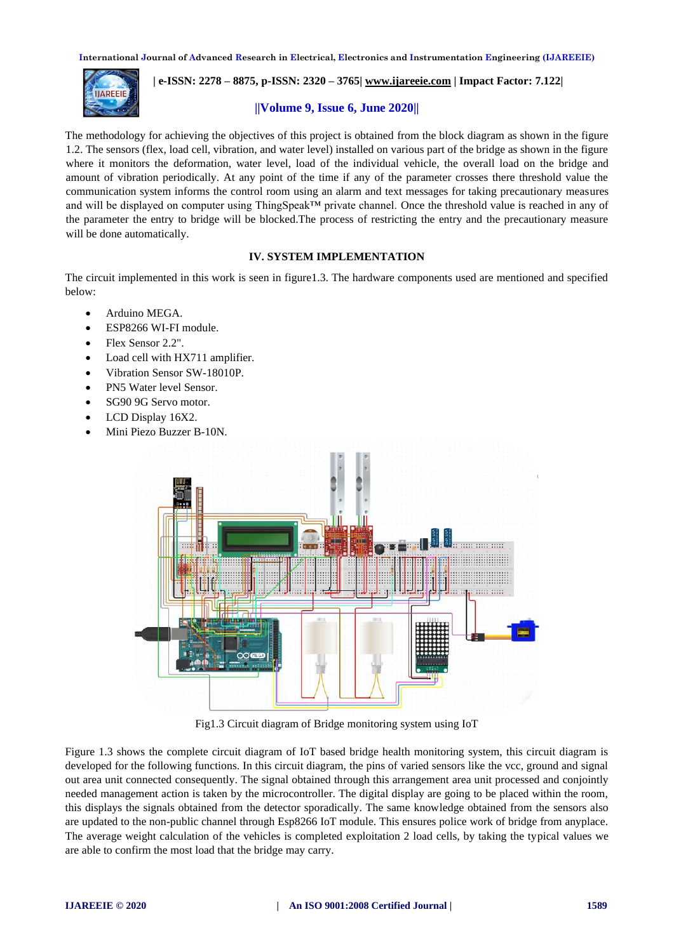

# **| e-ISSN: 2278 – 8875, p-ISSN: 2320 – 3765[| www.ijareeie.com](http://www.ijareeie.com/) | Impact Factor: 7.122|**

## **||Volume 9, Issue 6, June 2020||**

The methodology for achieving the objectives of this project is obtained from the block diagram as shown in the figure 1.2. The sensors (flex, load cell, vibration, and water level) installed on various part of the bridge as shown in the figure where it monitors the deformation, water level, load of the individual vehicle, the overall load on the bridge and amount of vibration periodically. At any point of the time if any of the parameter crosses there threshold value the communication system informs the control room using an alarm and text messages for taking precautionary measures and will be displayed on computer using ThingSpeak™ private channel. Once the threshold value is reached in any of the parameter the entry to bridge will be blocked.The process of restricting the entry and the precautionary measure will be done automatically.

## **IV. SYSTEM IMPLEMENTATION**

The circuit implemented in this work is seen in figure1.3. The hardware components used are mentioned and specified below:

- Arduino MEGA.
- ESP8266 WI-FI module.
- Flex Sensor 2.2".
- Load cell with HX711 amplifier.
- Vibration Sensor SW-18010P.
- PN5 Water level Sensor.
- SG90 9G Servo motor.
- LCD Display 16X2.
- Mini Piezo Buzzer B-10N.



Fig1.3 Circuit diagram of Bridge monitoring system using IoT

Figure 1.3 shows the complete circuit diagram of IoT based bridge health monitoring system, this circuit diagram is developed for the following functions. In this circuit diagram, the pins of varied sensors like the vcc, ground and signal out area unit connected consequently. The signal obtained through this arrangement area unit processed and conjointly needed management action is taken by the microcontroller. The digital display are going to be placed within the room, this displays the signals obtained from the detector sporadically. The same knowledge obtained from the sensors also are updated to the non-public channel through Esp8266 IoT module. This ensures police work of bridge from anyplace. The average weight calculation of the vehicles is completed exploitation 2 load cells, by taking the typical values we are able to confirm the most load that the bridge may carry.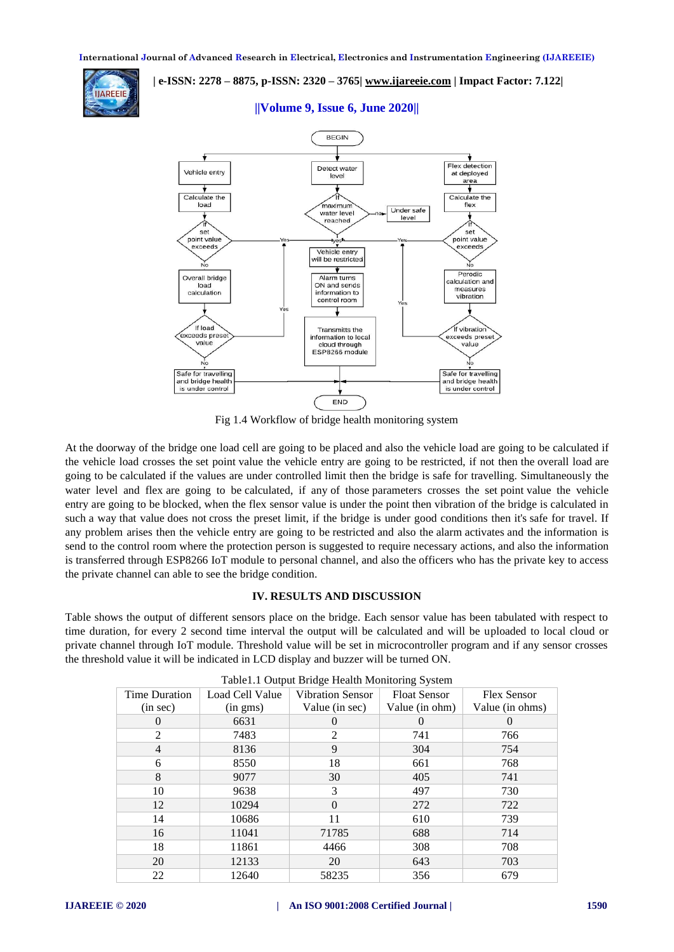

# **| e-ISSN: 2278 – 8875, p-ISSN: 2320 – 3765[| www.ijareeie.com](http://www.ijareeie.com/) | Impact Factor: 7.122|**



# **||Volume 9, Issue 6, June 2020||**

Fig 1.4 Workflow of bridge health monitoring system

At the doorway of the bridge one load cell are going to be placed and also the vehicle load are going to be calculated if the vehicle load crosses the set point value the vehicle entry are going to be restricted, if not then the overall load are going to be calculated if the values are under controlled limit then the bridge is safe for travelling. Simultaneously the water level and flex are going to be calculated, if any of those parameters crosses the set point value the vehicle entry are going to be blocked, when the flex sensor value is under the point then vibration of the bridge is calculated in such a way that value does not cross the preset limit, if the bridge is under good conditions then it's safe for travel. If any problem arises then the vehicle entry are going to be restricted and also the alarm activates and the information is send to the control room where the protection person is suggested to require necessary actions, and also the information is transferred through ESP8266 IoT module to personal channel, and also the officers who has the private key to access the private channel can able to see the bridge condition.

## **IV. RESULTS AND DISCUSSION**

Table shows the output of different sensors place on the bridge. Each sensor value has been tabulated with respect to time duration, for every 2 second time interval the output will be calculated and will be uploaded to local cloud or private channel through IoT module. Threshold value will be set in microcontroller program and if any sensor crosses the threshold value it will be indicated in LCD display and buzzer will be turned ON.

| raoletti Gaipat Briage freatur Monitoring Bystem |                 |                         |                     |                    |  |  |
|--------------------------------------------------|-----------------|-------------------------|---------------------|--------------------|--|--|
| <b>Time Duration</b>                             | Load Cell Value | <b>Vibration Sensor</b> | <b>Float Sensor</b> | <b>Flex Sensor</b> |  |  |
| (in sec)                                         | (in gms)        | Value (in sec)          | Value (in ohm)      | Value (in ohms)    |  |  |
| $\Omega$                                         | 6631            | $\theta$                | $\Omega$            | $\theta$           |  |  |
| 2                                                | 7483            | 2                       | 741                 | 766                |  |  |
| 4                                                | 8136            | 9                       | 304                 | 754                |  |  |
| 6                                                | 8550            | 18                      | 661                 | 768                |  |  |
| 8                                                | 9077            | 30                      | 405                 | 741                |  |  |
| 10                                               | 9638            | 3                       | 497                 | 730                |  |  |
| 12                                               | 10294           | $\Omega$                | 272                 | 722                |  |  |
| 14                                               | 10686           | 11                      | 610                 | 739                |  |  |
| 16                                               | 11041           | 71785                   | 688                 | 714                |  |  |
| 18                                               | 11861           | 4466                    | 308                 | 708                |  |  |
| 20                                               | 12133           | 20                      | 643                 | 703                |  |  |
| 22                                               | 12640           | 58235                   | 356                 | 679                |  |  |

| Table1.1 Output Bridge Health Monitoring System |  |  |  |
|-------------------------------------------------|--|--|--|
|-------------------------------------------------|--|--|--|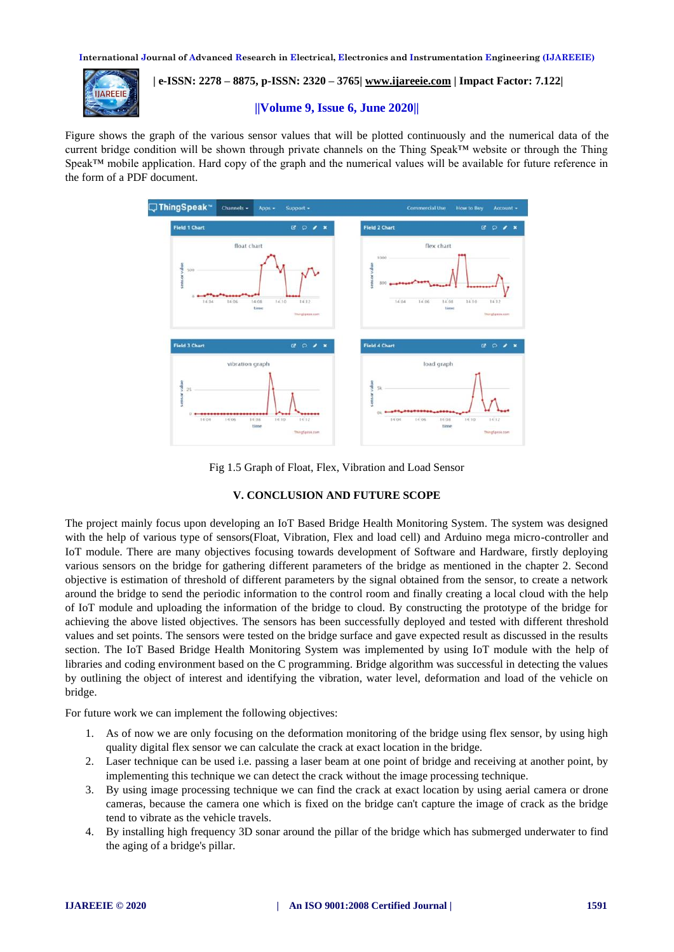

 **| e-ISSN: 2278 – 8875, p-ISSN: 2320 – 3765[| www.ijareeie.com](http://www.ijareeie.com/) | Impact Factor: 7.122|** 

#### **||Volume 9, Issue 6, June 2020||**

Figure shows the graph of the various sensor values that will be plotted continuously and the numerical data of the current bridge condition will be shown through private channels on the Thing Speak™ website or through the Thing Speak™ mobile application. Hard copy of the graph and the numerical values will be available for future reference in the form of a PDF document.



Fig 1.5 Graph of Float, Flex, Vibration and Load Sensor

## **V. CONCLUSION AND FUTURE SCOPE**

The project mainly focus upon developing an IoT Based Bridge Health Monitoring System. The system was designed with the help of various type of sensors(Float, Vibration, Flex and load cell) and Arduino mega micro-controller and IoT module. There are many objectives focusing towards development of Software and Hardware, firstly deploying various sensors on the bridge for gathering different parameters of the bridge as mentioned in the chapter 2. Second objective is estimation of threshold of different parameters by the signal obtained from the sensor, to create a network around the bridge to send the periodic information to the control room and finally creating a local cloud with the help of IoT module and uploading the information of the bridge to cloud. By constructing the prototype of the bridge for achieving the above listed objectives. The sensors has been successfully deployed and tested with different threshold values and set points. The sensors were tested on the bridge surface and gave expected result as discussed in the results section. The IoT Based Bridge Health Monitoring System was implemented by using IoT module with the help of libraries and coding environment based on the C programming. Bridge algorithm was successful in detecting the values by outlining the object of interest and identifying the vibration, water level, deformation and load of the vehicle on bridge.

For future work we can implement the following objectives:

- 1. As of now we are only focusing on the deformation monitoring of the bridge using flex sensor, by using high quality digital flex sensor we can calculate the crack at exact location in the bridge.
- 2. Laser technique can be used i.e. passing a laser beam at one point of bridge and receiving at another point, by implementing this technique we can detect the crack without the image processing technique.
- 3. By using image processing technique we can find the crack at exact location by using aerial camera or drone cameras, because the camera one which is fixed on the bridge can't capture the image of crack as the bridge tend to vibrate as the vehicle travels.
- 4. By installing high frequency 3D sonar around the pillar of the bridge which has submerged underwater to find the aging of a bridge's pillar.